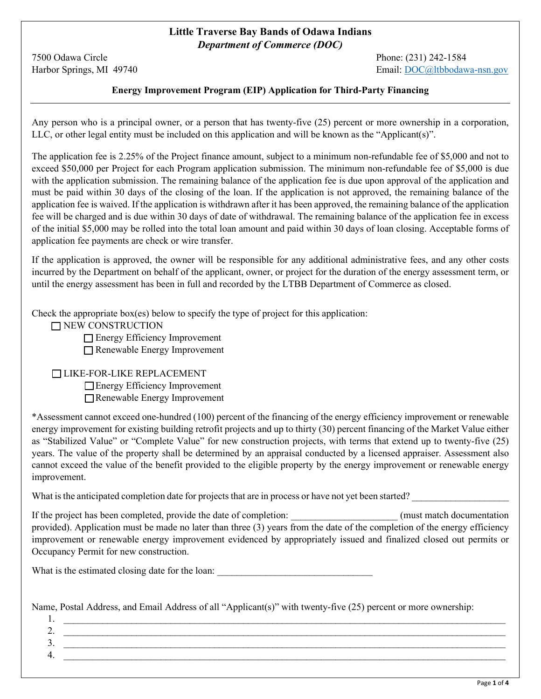## **Little Traverse Bay Bands of Odawa Indians**  *Department of Commerce (DOC)*

7500 Odawa Circle Phone: (231) 242-1584

Harbor Springs, MI 49740 Email: [DOC@ltbbodawa-nsn.gov](mailto:DOC@ltbbodawa-nsn.gov)

## **Energy Improvement Program (EIP) Application for Third-Party Financing**

Any person who is a principal owner, or a person that has twenty-five (25) percent or more ownership in a corporation, LLC, or other legal entity must be included on this application and will be known as the "Applicant(s)".

The application fee is 2.25% of the Project finance amount, subject to a minimum non-refundable fee of \$5,000 and not to exceed \$50,000 per Project for each Program application submission. The minimum non-refundable fee of \$5,000 is due with the application submission. The remaining balance of the application fee is due upon approval of the application and must be paid within 30 days of the closing of the loan. If the application is not approved, the remaining balance of the application fee is waived. If the application is withdrawn after it has been approved, the remaining balance of the application fee will be charged and is due within 30 days of date of withdrawal. The remaining balance of the application fee in excess of the initial \$5,000 may be rolled into the total loan amount and paid within 30 days of loan closing. Acceptable forms of application fee payments are check or wire transfer.

If the application is approved, the owner will be responsible for any additional administrative fees, and any other costs incurred by the Department on behalf of the applicant, owner, or project for the duration of the energy assessment term, or until the energy assessment has been in full and recorded by the LTBB Department of Commerce as closed.

Check the appropriate box(es) below to specify the type of project for this application:

NEW CONSTRUCTION

Energy Efficiency Improvement

Renewable Energy Improvement

#### LIKE-FOR-LIKE REPLACEMENT

Energy Efficiency Improvement Renewable Energy Improvement

\*Assessment cannot exceed one-hundred (100) percent of the financing of the energy efficiency improvement or renewable energy improvement for existing building retrofit projects and up to thirty (30) percent financing of the Market Value either as "Stabilized Value" or "Complete Value" for new construction projects, with terms that extend up to twenty-five (25) years. The value of the property shall be determined by an appraisal conducted by a licensed appraiser. Assessment also cannot exceed the value of the benefit provided to the eligible property by the energy improvement or renewable energy improvement.

What is the anticipated completion date for projects that are in process or have not yet been started?

If the project has been completed, provide the date of completion:  $(must match documentation)$ provided). Application must be made no later than three (3) years from the date of the completion of the energy efficiency improvement or renewable energy improvement evidenced by appropriately issued and finalized closed out permits or Occupancy Permit for new construction.

What is the estimated closing date for the loan:

Name, Postal Address, and Email Address of all "Applicant(s)" with twenty-five (25) percent or more ownership:

1. \_\_\_\_\_\_\_\_\_\_\_\_\_\_\_\_\_\_\_\_\_\_\_\_\_\_\_\_\_\_\_\_\_\_\_\_\_\_\_\_\_\_\_\_\_\_\_\_\_\_\_\_\_\_\_\_\_\_\_\_\_\_\_\_\_\_\_\_\_\_\_\_\_\_\_\_\_\_\_\_\_\_\_\_\_\_\_\_\_\_\_  $2.$ 3. \_\_\_\_\_\_\_\_\_\_\_\_\_\_\_\_\_\_\_\_\_\_\_\_\_\_\_\_\_\_\_\_\_\_\_\_\_\_\_\_\_\_\_\_\_\_\_\_\_\_\_\_\_\_\_\_\_\_\_\_\_\_\_\_\_\_\_\_\_\_\_\_\_\_\_\_\_\_\_\_\_\_\_\_\_\_\_\_\_\_\_  $4. \quad$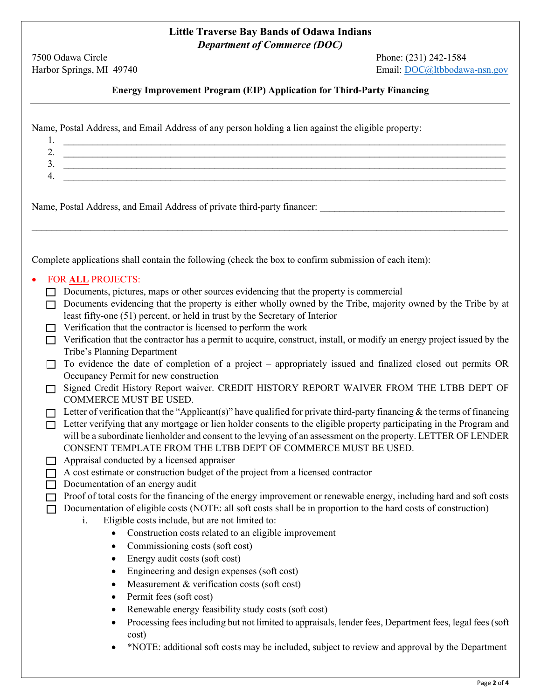# **Little Traverse Bay Bands of Odawa Indians**  *Department of Commerce (DOC)*

7500 Odawa Circle Phone: (231) 242-1584<br>
Harbor Springs, MI 49740 Email: DOC@ltbbodaw

Email: [DOC@ltbbodawa-nsn.gov](mailto:DOC@ltbbodawa-nsn.gov)

**Energy Improvement Program (EIP) Application for Third-Party Financing**

Name, Postal Address, and Email Address of any person holding a lien against the eligible property:

| 1.     |                                                                                                                             |
|--------|-----------------------------------------------------------------------------------------------------------------------------|
|        |                                                                                                                             |
| 3.     |                                                                                                                             |
| 4.     |                                                                                                                             |
|        |                                                                                                                             |
|        | Name, Postal Address, and Email Address of private third-party financer:                                                    |
|        |                                                                                                                             |
|        |                                                                                                                             |
|        |                                                                                                                             |
|        |                                                                                                                             |
|        | Complete applications shall contain the following (check the box to confirm submission of each item):                       |
|        | FOR ALL PROJECTS:                                                                                                           |
|        | Documents, pictures, maps or other sources evidencing that the property is commercial                                       |
|        | Documents evidencing that the property is either wholly owned by the Tribe, majority owned by the Tribe by at               |
|        | least fifty-one (51) percent, or held in trust by the Secretary of Interior                                                 |
|        | Verification that the contractor is licensed to perform the work                                                            |
|        | Verification that the contractor has a permit to acquire, construct, install, or modify an energy project issued by the     |
|        | Tribe's Planning Department                                                                                                 |
|        | To evidence the date of completion of a project - appropriately issued and finalized closed out permits OR                  |
|        | Occupancy Permit for new construction                                                                                       |
| $\Box$ | Signed Credit History Report waiver. CREDIT HISTORY REPORT WAIVER FROM THE LTBB DEPT OF                                     |
|        | <b>COMMERCE MUST BE USED.</b>                                                                                               |
|        | Letter of verification that the "Applicant(s)" have qualified for private third-party financing $\&$ the terms of financing |
| П      | Letter verifying that any mortgage or lien holder consents to the eligible property participating in the Program and        |
|        | will be a subordinate lienholder and consent to the levying of an assessment on the property. LETTER OF LENDER              |
|        | CONSENT TEMPLATE FROM THE LTBB DEPT OF COMMERCE MUST BE USED.                                                               |
|        | Appraisal conducted by a licensed appraiser                                                                                 |
| $\Box$ | A cost estimate or construction budget of the project from a licensed contractor                                            |
|        | Documentation of an energy audit                                                                                            |
|        | Proof of total costs for the financing of the energy improvement or renewable energy, including hard and soft costs         |
|        | Documentation of eligible costs (NOTE: all soft costs shall be in proportion to the hard costs of construction)<br>i.       |
|        | Eligible costs include, but are not limited to:<br>• Construction costs related to an eligible improvement                  |
|        |                                                                                                                             |
|        | Commissioning costs (soft cost)<br>$\bullet$                                                                                |
|        | Energy audit costs (soft cost)<br>٠                                                                                         |
|        | Engineering and design expenses (soft cost)<br>$\bullet$                                                                    |
|        | Measurement & verification costs (soft cost)<br>$\bullet$                                                                   |
|        | Permit fees (soft cost)<br>$\bullet$                                                                                        |
|        | Renewable energy feasibility study costs (soft cost)<br>$\bullet$                                                           |
|        | Processing fees including but not limited to appraisals, lender fees, Department fees, legal fees (soft                     |
|        | cost)                                                                                                                       |
|        | *NOTE: additional soft costs may be included, subject to review and approval by the Department<br>$\bullet$                 |
|        |                                                                                                                             |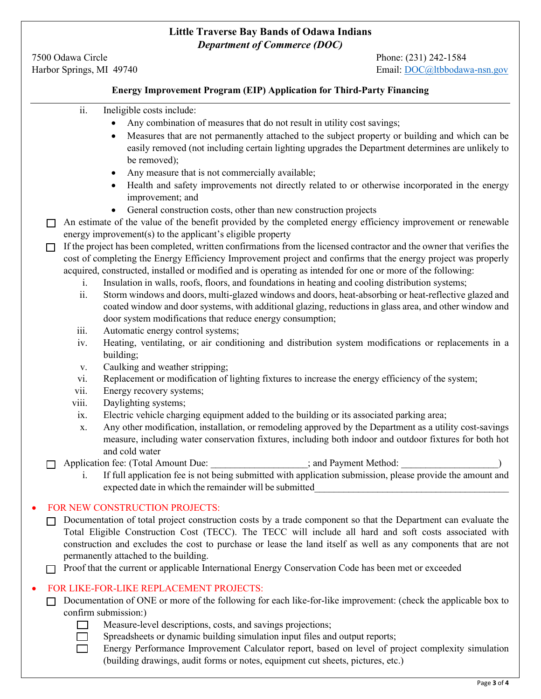## **Little Traverse Bay Bands of Odawa Indians**  *Department of Commerce (DOC)*

7500 Odawa Circle Phone: (231) 242-1584

Harbor Springs, MI 49740 Email: [DOC@ltbbodawa-nsn.gov](mailto:DOC@ltbbodawa-nsn.gov)

#### **Energy Improvement Program (EIP) Application for Third-Party Financing**

- ii. Ineligible costs include:
	- Any combination of measures that do not result in utility cost savings;
	- Measures that are not permanently attached to the subject property or building and which can be easily removed (not including certain lighting upgrades the Department determines are unlikely to be removed);
	- Any measure that is not commercially available;
	- Health and safety improvements not directly related to or otherwise incorporated in the energy improvement; and
	- General construction costs, other than new construction projects
- $\Box$  An estimate of the value of the benefit provided by the completed energy efficiency improvement or renewable energy improvement(s) to the applicant's eligible property
- $\Box$  If the project has been completed, written confirmations from the licensed contractor and the owner that verifies the cost of completing the Energy Efficiency Improvement project and confirms that the energy project was properly acquired, constructed, installed or modified and is operating as intended for one or more of the following:
	- i. Insulation in walls, roofs, floors, and foundations in heating and cooling distribution systems;
	- ii. Storm windows and doors, multi-glazed windows and doors, heat-absorbing or heat-reflective glazed and coated window and door systems, with additional glazing, reductions in glass area, and other window and door system modifications that reduce energy consumption;
	- iii. Automatic energy control systems;
	- iv. Heating, ventilating, or air conditioning and distribution system modifications or replacements in a building;
	- v. Caulking and weather stripping;
	- vi. Replacement or modification of lighting fixtures to increase the energy efficiency of the system;
	- vii. Energy recovery systems;
	- viii. Daylighting systems;
	- ix. Electric vehicle charging equipment added to the building or its associated parking area;
	- x. Any other modification, installation, or remodeling approved by the Department as a utility cost-savings measure, including water conservation fixtures, including both indoor and outdoor fixtures for both hot and cold water
- $\Box$  Application fee: (Total Amount Due:  $\Box$  ; and Payment Method:
	- i. If full application fee is not being submitted with application submission, please provide the amount and expected date in which the remainder will be submitted

#### • FOR NEW CONSTRUCTION PROJECTS:

- $\Box$  Documentation of total project construction costs by a trade component so that the Department can evaluate the Total Eligible Construction Cost (TECC). The TECC will include all hard and soft costs associated with construction and excludes the cost to purchase or lease the land itself as well as any components that are not permanently attached to the building.
- $\Box$  Proof that the current or applicable International Energy Conservation Code has been met or exceeded

#### • FOR LIKE-FOR-LIKE REPLACEMENT PROJECTS:

 $\Box$  Documentation of ONE or more of the following for each like-for-like improvement: (check the applicable box to confirm submission:)



- Measure-level descriptions, costs, and savings projections;
- $\Box$  Spreadsheets or dynamic building simulation input files and output reports;

Energy Performance Improvement Calculator report, based on level of project complexity simulation (building drawings, audit forms or notes, equipment cut sheets, pictures, etc.)